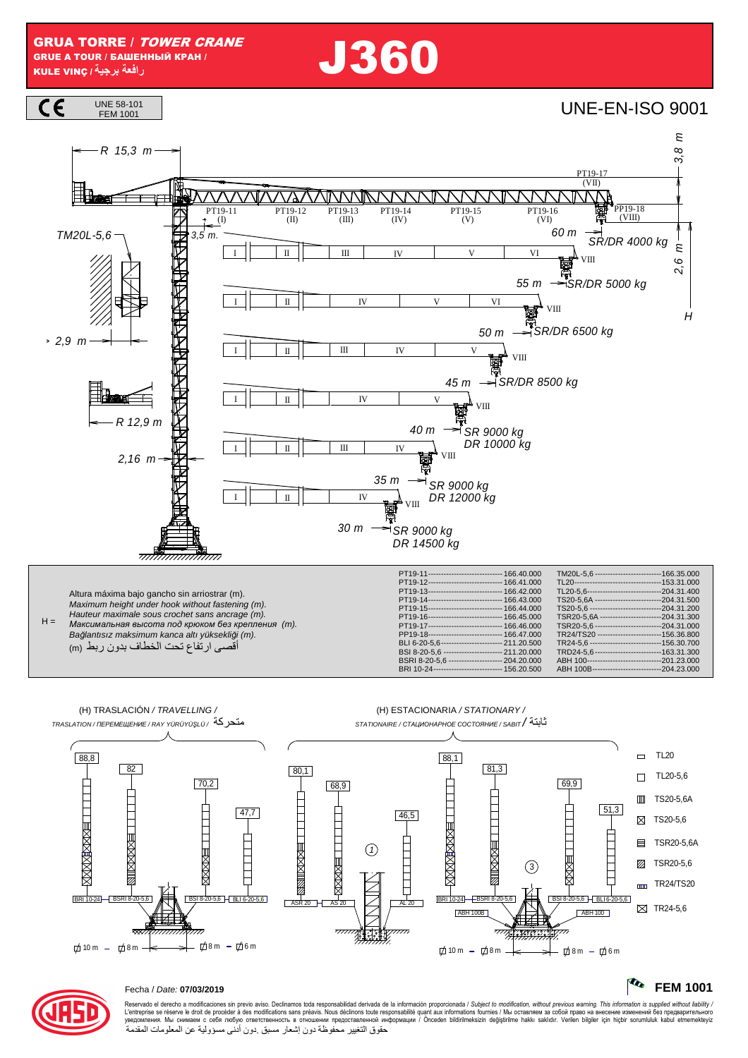**J360** 





### Fecha / Date: 07/03/2019

Reservado el derecho a modificaciones sin previo aviso. Declinamos toda responsabilidad derivada de la información proporcionada / Subject to modification, without previous warning. This information is supplied without li حقوق التغيير محفوظة دون إشعار مسبق دون أدنى مسؤولية عن المعلومات المقدمة

**FEM 1001**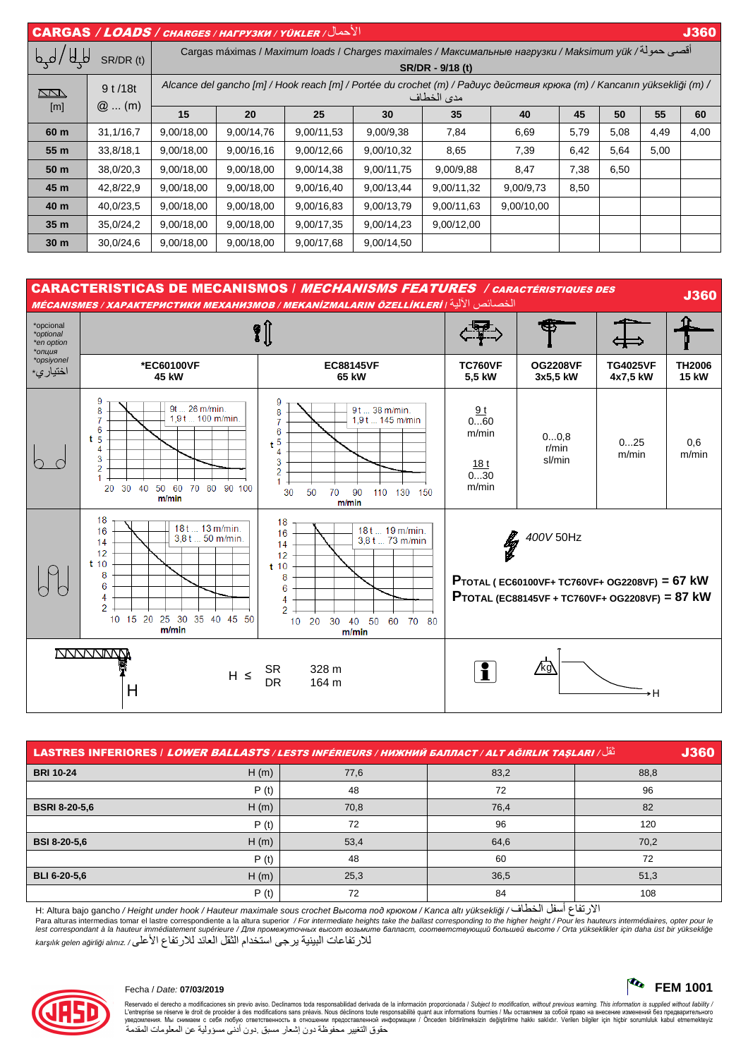| $  \overline{\text{CARGAS}}$ / $\overline{\text{LOADS}}$ / снаrges / нагрузки / үйкler / $ $<br><b>J360</b> |           |                                                                                                                                       |            |            |            |            |            |                          |          |      |      |
|-------------------------------------------------------------------------------------------------------------|-----------|---------------------------------------------------------------------------------------------------------------------------------------|------------|------------|------------|------------|------------|--------------------------|----------|------|------|
| $\overline{\mathsf{P}}$<br>SR/DR (t)                                                                        |           | أقصى حمولة/ Cargas máximas / Maximum loads / Charges maximales / Максимальные нагрузки / Maksimum yük<br>SR/DR - 9/18 (t)             |            |            |            |            |            |                          |          |      |      |
| <u>kana</u>                                                                                                 | 9t/18t    | Alcance del gancho [m] / Hook reach [m] / Portée du crochet (m) / Paðuyc действия крюка (m) / Kancanın yüksekliği (m) /<br>مدى الخطاف |            |            |            |            |            |                          |          |      |      |
| [m]                                                                                                         | $@$ (m)   | 15                                                                                                                                    | 20         | 25         | 30         | 35         | 40         | 45                       | 50       | 55   | 60   |
| 60 m                                                                                                        | 31,1/16,7 | 9,00/18,00                                                                                                                            | 9,00/14,76 | 9,00/11,53 | 9,00/9,38  | 7,84       | 6,69       | 5,79                     | 5,08     | 4,49 | 4,00 |
| 55 m                                                                                                        | 33,8/18,1 | 9,00/18,00                                                                                                                            | 9,00/16,16 | 9,00/12,66 | 9,00/10,32 | 8,65       | 7,39       | 6,42                     | 5,64     | 5,00 |      |
| 50 m                                                                                                        | 38,0/20,3 | 9,00/18,00                                                                                                                            | 9,00/18,00 | 9,00/14,38 | 9,00/11,75 | 9,00/9,88  | 8,47       | 7,38                     | 6,50     | __   |      |
| 45 m                                                                                                        | 42,8/22,9 | 9,00/18,00                                                                                                                            | 9,00/18,00 | 9,00/16,40 | 9,00/13,44 | 9,00/11,32 | 9,00/9,73  | 8,50                     | المستحقق |      |      |
| 40 m                                                                                                        | 40,0/23,5 | 9,00/18,00                                                                                                                            | 9,00/18,00 | 9,00/16,83 | 9,00/13,79 | 9,00/11,63 | 9,00/10,00 | $\overline{\phantom{0}}$ |          |      |      |
| 35 <sub>m</sub>                                                                                             | 35,0/24,2 | 9,00/18,00                                                                                                                            | 9,00/18,00 | 9,00/17,35 | 9,00/14,23 | 9,00/12,00 |            |                          |          |      |      |
| 30 <sub>m</sub>                                                                                             | 30,0/24,6 | 9,00/18,00                                                                                                                            | 9,00/18,00 | 9,00/17,68 | 9,00/14,50 |            |            |                          |          |      |      |



|                      |      |      | نُقْل/ LASTRES INFERIORES   LOWER BALLASTS / LESTS INFÉRIEURS / НИЖНИЙ БАЛЛАСТ / ALT AĞIRLIK TAŞLARI | <b>J360</b> |
|----------------------|------|------|------------------------------------------------------------------------------------------------------|-------------|
| <b>BRI 10-24</b>     | H(m) | 77,6 | 83,2                                                                                                 | 88,8        |
|                      | P(t) | 48   | 72                                                                                                   | 96          |
| <b>BSRI 8-20-5.6</b> | H(m) | 70,8 | 76,4                                                                                                 | 82          |
|                      | P(t) | 72   | 96                                                                                                   | 120         |
| <b>BSI 8-20-5,6</b>  | H(m) | 53,4 | 64,6                                                                                                 | 70,2        |
|                      | P(t) | 48   | 60                                                                                                   | 72          |
| <b>BLI 6-20-5.6</b>  | H(m) | 25,3 | 36,5                                                                                                 | 51,3        |
|                      | P(t) | 72   | 84                                                                                                   | 108         |

H: Altura bajo gancho / Height under hook / Hauteur maximale sous crochet *Высота под крюком* / Kanca altı yüksekli*ğ*i / ف ,-ا 8 9أ ع /ر:ا

Para alturas intermedias tomar el lastre correspondiente a la altura superior / For intermediate heights take the ballast corresponding to the higher height / Pour les hauteurs intermédiaires, opter pour les hauteurs inter lest correspondant à la hauteur immédiatement supérieure / Для промежуточных высот возьмите балласт, соответствующий большей высоте / Orta yükseklikler için daha üst bir yüksekliğe للار تفاعات البينية ير جي استخدام الثقل العائد للار تفاع الأعلى/ karşılık gelen ağirliği alınız



Reservado el derecho a modificaciones sin previo aviso. Declinamos toda responsabilidad derivada de la información proporcionada / Subjec*t to modification, without previous warning. This information is supplied without l* حقوق التغيير محفوظة دون إشعار مسبق دون أدنى مسؤولية عن المعلومات المقدمة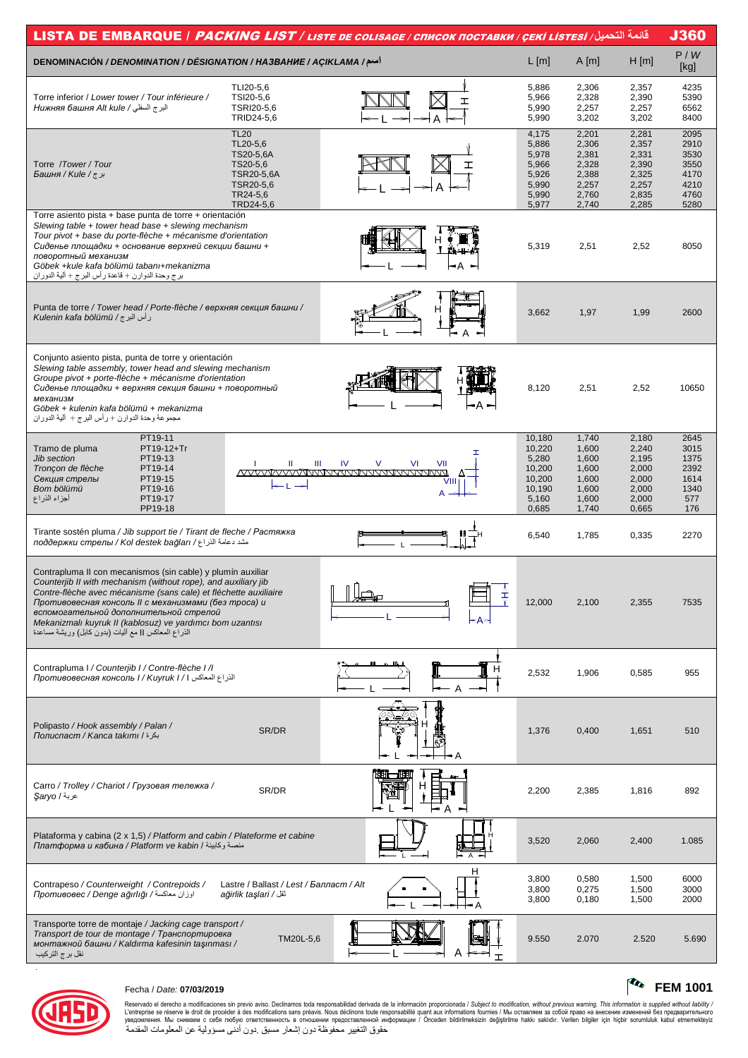| قائمة التصيل/ LISTA DE EMBARQUE / <i>PACKING LIST / LISTE DE COLISAGE / CПИСОК ПОСТАВКИ / ÇEKİ LISTESİ</i>                        |                                         |                                          |                 |                |                |              |  |  |
|-----------------------------------------------------------------------------------------------------------------------------------|-----------------------------------------|------------------------------------------|-----------------|----------------|----------------|--------------|--|--|
| <b>DENOMINACIÓN / DENOMINATION / DÉSIGNATION / HA3BAHUE / AÇIKLAMA /</b>                                                          |                                         |                                          | $L$ [m]         | $A$ [m]        | H[m]           | P/W<br>[kg]  |  |  |
|                                                                                                                                   | TLI20-5,6                               |                                          | 5,886           | 2,306          | 2,357          | 4235         |  |  |
| Torre inferior / Lower tower / Tour inférieure /                                                                                  | TSI20-5,6                               | ᆂ                                        | 5,966           | 2,328          | 2,390          | 5390         |  |  |
| البر ج السفلي / Нижняя башня Alt kule                                                                                             | TSRI20-5,6                              |                                          | 5,990           | 2,257          | 2,257          | 6562         |  |  |
|                                                                                                                                   | TRID24-5,6                              |                                          | 5,990           | 3,202          | 3,202          | 8400         |  |  |
|                                                                                                                                   | <b>TL20</b>                             |                                          | 4,175           | 2,201          | 2,281          | 2095         |  |  |
|                                                                                                                                   | TL20-5,6<br>TS20-5,6A                   |                                          | 5,886<br>5,978  | 2,306<br>2,381 | 2,357<br>2,331 | 2910<br>3530 |  |  |
| Torre /Tower/Tour                                                                                                                 | TS20-5,6                                |                                          | 5,966           | 2,328          | 2,390          | 3550         |  |  |
| برج/ Башня / Kule /                                                                                                               | TSR20-5,6A                              |                                          | 5,926           | 2,388          | 2,325          | 4170         |  |  |
|                                                                                                                                   | TSR20-5,6<br>TR24-5,6                   |                                          | 5,990<br>5,990  | 2,257<br>2,760 | 2,257<br>2,835 | 4210<br>4760 |  |  |
|                                                                                                                                   | TRD24-5,6                               |                                          | 5,977           | 2,740          | 2,285          | 5280         |  |  |
| Torre asiento pista + base punta de torre + orientación                                                                           |                                         |                                          |                 |                |                |              |  |  |
| Slewing table + tower head base + slewing mechanism                                                                               |                                         |                                          |                 |                |                |              |  |  |
| Tour pivot + base du porte-flèche + mécanisme d'orientation<br>Сиденье площадки + основание верхней секции башни +                |                                         |                                          | 5,319           | 2,51           | 2,52           | 8050         |  |  |
| поворотный механизм                                                                                                               |                                         |                                          |                 |                |                |              |  |  |
| Göbek +kule kafa bölümü tabanı+mekanizma                                                                                          |                                         | ⊢A –                                     |                 |                |                |              |  |  |
| برج وحدة الدوارن + قاعدة ر أس البرج + ألية الدور ان                                                                               |                                         |                                          |                 |                |                |              |  |  |
|                                                                                                                                   |                                         |                                          |                 |                |                |              |  |  |
| Punta de torre / Tower head / Porte-flèche / верхняя секция башни /                                                               |                                         | н                                        | 3,662           | 1,97           | 1,99           | 2600         |  |  |
| رأس البرج / Kulenin kafa bölümü                                                                                                   |                                         |                                          |                 |                |                |              |  |  |
|                                                                                                                                   |                                         |                                          |                 |                |                |              |  |  |
|                                                                                                                                   |                                         |                                          |                 |                |                |              |  |  |
| Conjunto asiento pista, punta de torre y orientación                                                                              |                                         |                                          |                 |                |                |              |  |  |
| Slewing table assembly, tower head and slewing mechanism<br>Groupe pivot + porte-flèche + mécanisme d'orientation                 |                                         |                                          |                 |                |                |              |  |  |
| Сиденье площадки + верхняя секция башни + поворотный                                                                              |                                         |                                          | 8,120           | 2,51           | 2,52           | 10650        |  |  |
| механизм                                                                                                                          |                                         |                                          |                 |                |                |              |  |  |
| Göbek + kulenin kafa bölümü + mekanizma<br>مجموعة وحدة الدوارن + رأس البرج + ألية الدوران                                         |                                         |                                          |                 |                |                |              |  |  |
|                                                                                                                                   |                                         |                                          |                 |                |                |              |  |  |
| PT19-11                                                                                                                           |                                         |                                          | 10,180          | 1,740          | 2,180          | 2645         |  |  |
| Tramo de pluma<br>PT19-12+Tr<br>PT19-13<br><b>Jib section</b>                                                                     |                                         | T                                        | 10,220<br>5,280 | 1,600<br>1,600 | 2,240<br>2,195 | 3015<br>1375 |  |  |
| Tronçon de flèche<br>PT19-14                                                                                                      | Ш<br>Ш                                  | IV<br>$\vee$<br>VI<br>VII                | 10,200          | 1,600          | 2,000          | 2392         |  |  |
| PT19-15<br>Секция стрелы                                                                                                          |                                         |                                          | 10,200          | 1,600          | 2,000          | 1614         |  |  |
| Bom bölümü<br>PT19-16<br>أجزاء الذراع<br>PT19-17                                                                                  |                                         | A                                        | 10,190<br>5,160 | 1,600<br>1,600 | 2,000<br>2,000 | 1340<br>577  |  |  |
| PP19-18                                                                                                                           |                                         |                                          | 0,685           | 1,740          | 0,665          | 176          |  |  |
|                                                                                                                                   |                                         |                                          |                 |                |                |              |  |  |
| Tirante sostén pluma / Jib support tie / Tirant de fleche / Растяжка<br>مشد دعامة الذراع/ поддержки стрелы / Kol destek bağları / |                                         |                                          | 6,540           | 1,785          | 0,335          | 2270         |  |  |
|                                                                                                                                   |                                         |                                          |                 |                |                |              |  |  |
|                                                                                                                                   |                                         |                                          |                 |                |                |              |  |  |
| Contrapluma II con mecanismos (sin cable) y plumín auxiliar<br>Counterjib II with mechanism (without rope), and auxiliary jib     |                                         |                                          |                 |                |                |              |  |  |
| Contre-flèche avec mécanisme (sans cale) et fléchette auxiliaire                                                                  |                                         | $\mathbb{I}$ $\mathbb{I}$ $\mathbb{I}$ . |                 |                |                |              |  |  |
| Противовесная консоль II с механизмами (без mpoca) и                                                                              |                                         |                                          | 12,000          | 2,100          | 2,355          | 7535         |  |  |
| вспомогательной дополнительной стрелой                                                                                            |                                         |                                          |                 |                |                |              |  |  |
| Mekanizmalı kuyruk II (kablosuz) ve yardımcı bom uzantısı<br>الذراع المعاكس    مع أليات (بدون كابل) وريشة مساعدة                  |                                         |                                          |                 |                |                |              |  |  |
|                                                                                                                                   |                                         |                                          |                 |                |                |              |  |  |
|                                                                                                                                   |                                         |                                          |                 |                |                |              |  |  |
| Contrapluma I / Counterjib I / Contre-flèche I / I                                                                                |                                         |                                          | 2,532           | 1,906          | 0,585          | 955          |  |  |
| الذراع المعاكس 1 / Противовесная консоль 1 / Киугик I                                                                             |                                         | $\overline{A}$                           |                 |                |                |              |  |  |
|                                                                                                                                   |                                         |                                          |                 |                |                |              |  |  |
|                                                                                                                                   |                                         |                                          |                 |                |                |              |  |  |
| Polipasto / Hook assembly / Palan /                                                                                               |                                         |                                          |                 |                |                |              |  |  |
| بكرة / Полиспаст / Kanca takımı                                                                                                   | SR/DR                                   |                                          | 1,376           | 0,400          | 1,651          | 510          |  |  |
|                                                                                                                                   |                                         |                                          |                 |                |                |              |  |  |
|                                                                                                                                   |                                         |                                          |                 |                |                |              |  |  |
|                                                                                                                                   |                                         |                                          |                 |                |                |              |  |  |
| Carro / Trolley / Chariot / Грузовая тележка /<br>عربة / Şaryo                                                                    | SR/DR                                   |                                          | 2,200           | 2,385          | 1,816          | 892          |  |  |
|                                                                                                                                   |                                         |                                          |                 |                |                |              |  |  |
|                                                                                                                                   |                                         |                                          |                 |                |                |              |  |  |
| Plataforma y cabina (2 x 1,5) / Platform and cabin / Plateforme et cabine                                                         |                                         |                                          |                 |                |                |              |  |  |
| ллатформа и кабина / Platform ve kabin / منصة وكابينة                                                                             |                                         |                                          | 3,520           | 2,060          | 2,400          | 1.085        |  |  |
|                                                                                                                                   |                                         |                                          |                 |                |                |              |  |  |
|                                                                                                                                   |                                         | н                                        |                 |                |                |              |  |  |
| Contrapeso / Counterweight / Contrepoids /                                                                                        | Lastre / Ballast / Lest / Балласт / Alt |                                          | 3,800<br>3,800  | 0,580<br>0,275 | 1,500<br>1,500 | 6000<br>3000 |  |  |
| اوزان معاكسة/ Mpomusosec / Denge ağırlığı                                                                                         | ağirlik taşlari / ثقل                   |                                          | 3,800           | 0,180          | 1,500          | 2000         |  |  |
|                                                                                                                                   |                                         |                                          |                 |                |                |              |  |  |
| Transporte torre de montaje / Jacking cage transport /                                                                            |                                         |                                          |                 |                |                |              |  |  |
| Transport de tour de montage / Транспортировка<br>монтажной башни / Kaldırma kafesinin taşınması /                                | TM20L-5,6                               |                                          | 9.550           | 2.070          | 2.520          | 5.690        |  |  |
| نقل برج التركيب                                                                                                                   |                                         |                                          |                 |                |                |              |  |  |
|                                                                                                                                   |                                         |                                          |                 |                |                |              |  |  |



# Fecha / Date: **07/03/2019 FEM 1001**

Reservado el derecho a modificaciones sin previo aviso. Declinamos toda responsabilidad derivada de la información proporcionada / Subjec*t to modification, without previous warning. This information is supplied without*